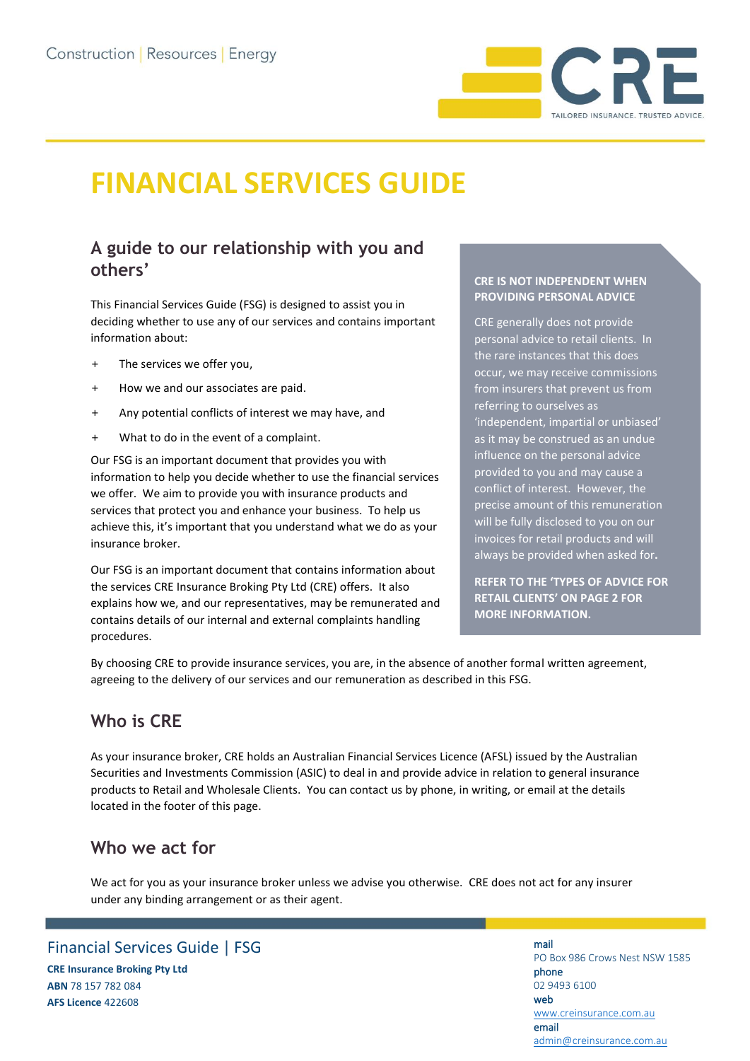

# **FINANCIAL SERVICES GUIDE**

# **A guide to our relationship with you and others'**

This Financial Services Guide (FSG) is designed to assist you in deciding whether to use any of our services and contains important information about:

- + The services we offer you,
- + How we and our associates are paid.
- + Any potential conflicts of interest we may have, and
- + What to do in the event of a complaint.

Our FSG is an important document that provides you with information to help you decide whether to use the financial services we offer. We aim to provide you with insurance products and services that protect you and enhance your business. To help us achieve this, it's important that you understand what we do as your insurance broker.

Our FSG is an important document that contains information about the services CRE Insurance Broking Pty Ltd (CRE) offers. It also explains how we, and our representatives, may be remunerated and contains details of our internal and external complaints handling procedures.

#### **CRE IS NOT INDEPENDENT WHEN PROVIDING PERSONAL ADVICE**

CRE generally does not provide personal advice to retail clients. In the rare instances that this does occur, we may receive commissions from insurers that prevent us from referring to ourselves as 'independent, impartial or unbiased' as it may be construed as an undue influence on the personal advice provided to you and may cause a conflict of interest. However, the precise amount of this remuneration will be fully disclosed to you on our invoices for retail products and will always be provided when asked for**.**

**REFER TO THE 'TYPES OF ADVICE FOR RETAIL CLIENTS' ON PAGE 2 FOR MORE INFORMATION.**

By choosing CRE to provide insurance services, you are, in the absence of another formal written agreement, agreeing to the delivery of our services and our remuneration as described in this FSG.

## **Who is CRE**

As your insurance broker, CRE holds an Australian Financial Services Licence (AFSL) issued by the Australian Securities and Investments Commission (ASIC) to deal in and provide advice in relation to general insurance products to Retail and Wholesale Clients. You can contact us by phone, in writing, or email at the details located in the footer of this page.

## **Who we act for**

We act for you as your insurance broker unless we advise you otherwise. CRE does not act for any insurer under any binding arrangement or as their agent.

## Financial Services Guide | FSG

**CRE Insurance Broking Pty Ltd ABN** 78 157 782 084 **AFS Licence** 422608

#### mail PO Box 986 Crows Nest NSW 1585 phone 02 9493 6100 web [www.creinsurance.com.au](http://www.creinsurance.com.au/) email [admin@creinsurance.com.au](mailto:admin@creinsurance.com.au)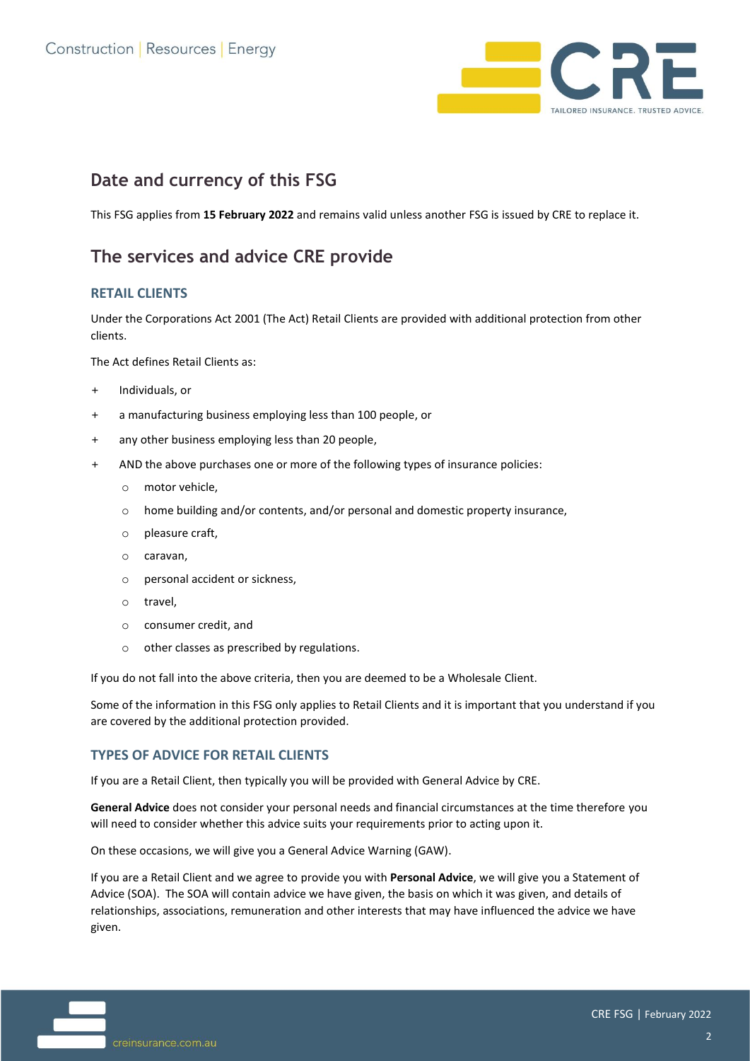

## **Date and currency of this FSG**

This FSG applies from **15 February 2022** and remains valid unless another FSG is issued by CRE to replace it.

## **The services and advice CRE provide**

#### **RETAIL CLIENTS**

Under the Corporations Act 2001 (The Act) Retail Clients are provided with additional protection from other clients.

The Act defines Retail Clients as:

- + Individuals, or
- + a manufacturing business employing less than 100 people, or
- + any other business employing less than 20 people,
- + AND the above purchases one or more of the following types of insurance policies:
	- o motor vehicle,
	- o home building and/or contents, and/or personal and domestic property insurance,
	- o pleasure craft,
	- o caravan,
	- o personal accident or sickness,
	- o travel,
	- o consumer credit, and
	- o other classes as prescribed by regulations.

If you do not fall into the above criteria, then you are deemed to be a Wholesale Client.

Some of the information in this FSG only applies to Retail Clients and it is important that you understand if you are covered by the additional protection provided.

#### **TYPES OF ADVICE FOR RETAIL CLIENTS**

If you are a Retail Client, then typically you will be provided with General Advice by CRE.

**General Advice** does not consider your personal needs and financial circumstances at the time therefore you will need to consider whether this advice suits your requirements prior to acting upon it.

On these occasions, we will give you a General Advice Warning (GAW).

If you are a Retail Client and we agree to provide you with **Personal Advice**, we will give you a Statement of Advice (SOA). The SOA will contain advice we have given, the basis on which it was given, and details of relationships, associations, remuneration and other interests that may have influenced the advice we have given.

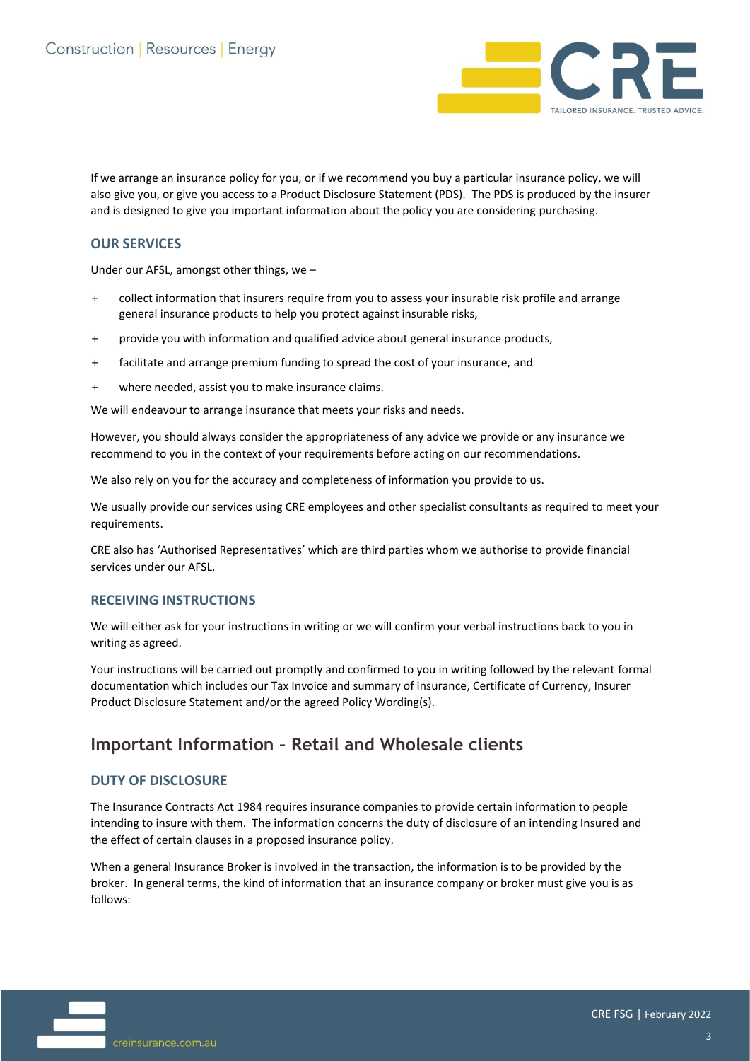

If we arrange an insurance policy for you, or if we recommend you buy a particular insurance policy, we will also give you, or give you access to a Product Disclosure Statement (PDS). The PDS is produced by the insurer and is designed to give you important information about the policy you are considering purchasing.

#### **OUR SERVICES**

Under our AFSL, amongst other things, we –

- + collect information that insurers require from you to assess your insurable risk profile and arrange general insurance products to help you protect against insurable risks,
- + provide you with information and qualified advice about general insurance products,
- + facilitate and arrange premium funding to spread the cost of your insurance, and
- + where needed, assist you to make insurance claims.

We will endeavour to arrange insurance that meets your risks and needs.

However, you should always consider the appropriateness of any advice we provide or any insurance we recommend to you in the context of your requirements before acting on our recommendations.

We also rely on you for the accuracy and completeness of information you provide to us.

We usually provide our services using CRE employees and other specialist consultants as required to meet your requirements.

CRE also has 'Authorised Representatives' which are third parties whom we authorise to provide financial services under our AFSL.

#### **RECEIVING INSTRUCTIONS**

We will either ask for your instructions in writing or we will confirm your verbal instructions back to you in writing as agreed.

Your instructions will be carried out promptly and confirmed to you in writing followed by the relevant formal documentation which includes our Tax Invoice and summary of insurance, Certificate of Currency, Insurer Product Disclosure Statement and/or the agreed Policy Wording(s).

## **Important Information – Retail and Wholesale clients**

#### **DUTY OF DISCLOSURE**

The Insurance Contracts Act 1984 requires insurance companies to provide certain information to people intending to insure with them. The information concerns the duty of disclosure of an intending Insured and the effect of certain clauses in a proposed insurance policy.

When a general Insurance Broker is involved in the transaction, the information is to be provided by the broker. In general terms, the kind of information that an insurance company or broker must give you is as follows:

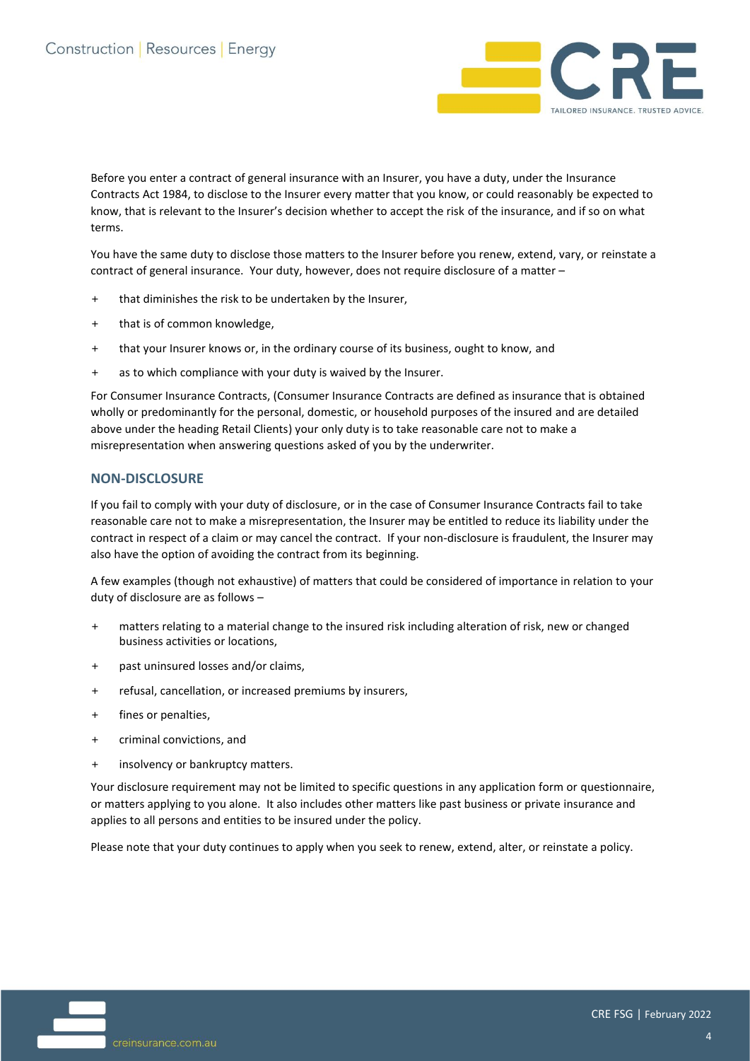

Before you enter a contract of general insurance with an Insurer, you have a duty, under the Insurance Contracts Act 1984, to disclose to the Insurer every matter that you know, or could reasonably be expected to know, that is relevant to the Insurer's decision whether to accept the risk of the insurance, and if so on what terms.

You have the same duty to disclose those matters to the Insurer before you renew, extend, vary, or reinstate a contract of general insurance. Your duty, however, does not require disclosure of a matter –

- + that diminishes the risk to be undertaken by the Insurer,
- + that is of common knowledge,
- + that your Insurer knows or, in the ordinary course of its business, ought to know, and
- + as to which compliance with your duty is waived by the Insurer.

For Consumer Insurance Contracts, (Consumer Insurance Contracts are defined as insurance that is obtained wholly or predominantly for the personal, domestic, or household purposes of the insured and are detailed above under the heading Retail Clients) your only duty is to take reasonable care not to make a misrepresentation when answering questions asked of you by the underwriter.

#### **NON-DISCLOSURE**

If you fail to comply with your duty of disclosure, or in the case of Consumer Insurance Contracts fail to take reasonable care not to make a misrepresentation, the Insurer may be entitled to reduce its liability under the contract in respect of a claim or may cancel the contract. If your non-disclosure is fraudulent, the Insurer may also have the option of avoiding the contract from its beginning.

A few examples (though not exhaustive) of matters that could be considered of importance in relation to your duty of disclosure are as follows –

- + matters relating to a material change to the insured risk including alteration of risk, new or changed business activities or locations,
- + past uninsured losses and/or claims,
- + refusal, cancellation, or increased premiums by insurers,
- + fines or penalties,
- + criminal convictions, and
- + insolvency or bankruptcy matters.

Your disclosure requirement may not be limited to specific questions in any application form or questionnaire, or matters applying to you alone. It also includes other matters like past business or private insurance and applies to all persons and entities to be insured under the policy.

Please note that your duty continues to apply when you seek to renew, extend, alter, or reinstate a policy.

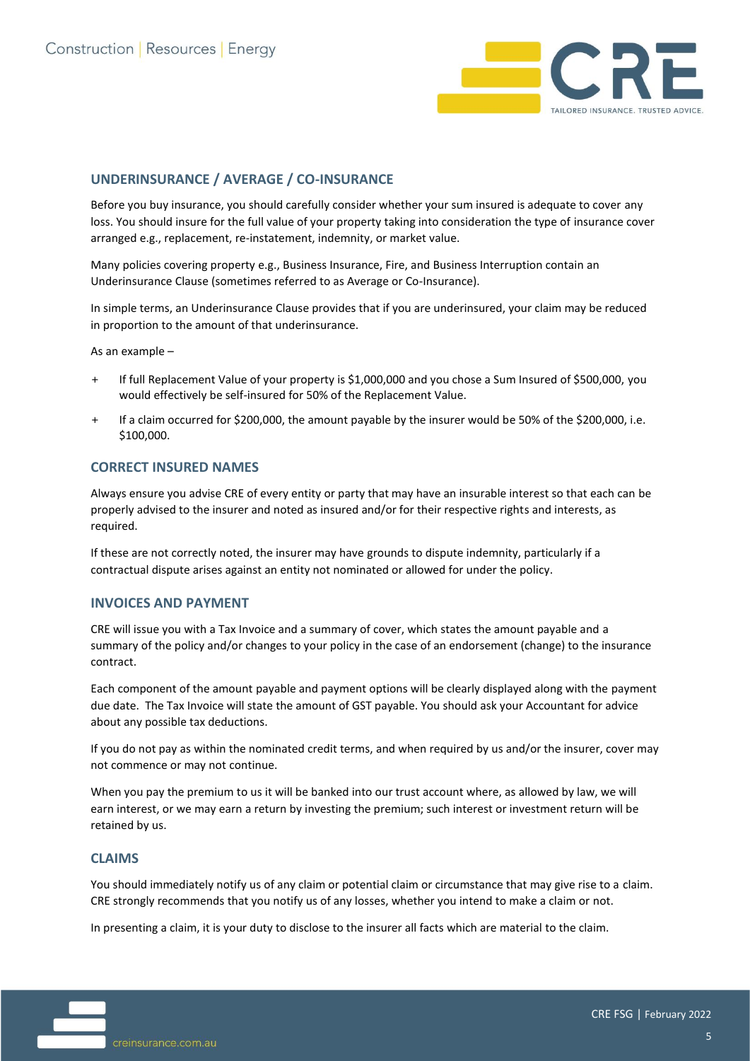

#### **UNDERINSURANCE / AVERAGE / CO-INSURANCE**

Before you buy insurance, you should carefully consider whether your sum insured is adequate to cover any loss. You should insure for the full value of your property taking into consideration the type of insurance cover arranged e.g., replacement, re-instatement, indemnity, or market value.

Many policies covering property e.g., Business Insurance, Fire, and Business Interruption contain an Underinsurance Clause (sometimes referred to as Average or Co-Insurance).

In simple terms, an Underinsurance Clause provides that if you are underinsured, your claim may be reduced in proportion to the amount of that underinsurance.

As an example –

- + If full Replacement Value of your property is \$1,000,000 and you chose a Sum Insured of \$500,000, you would effectively be self-insured for 50% of the Replacement Value.
- + If a claim occurred for \$200,000, the amount payable by the insurer would be 50% of the \$200,000, i.e. \$100,000.

#### **CORRECT INSURED NAMES**

Always ensure you advise CRE of every entity or party that may have an insurable interest so that each can be properly advised to the insurer and noted as insured and/or for their respective rights and interests, as required.

If these are not correctly noted, the insurer may have grounds to dispute indemnity, particularly if a contractual dispute arises against an entity not nominated or allowed for under the policy.

#### **INVOICES AND PAYMENT**

CRE will issue you with a Tax Invoice and a summary of cover, which states the amount payable and a summary of the policy and/or changes to your policy in the case of an endorsement (change) to the insurance contract.

Each component of the amount payable and payment options will be clearly displayed along with the payment due date. The Tax Invoice will state the amount of GST payable. You should ask your Accountant for advice about any possible tax deductions.

If you do not pay as within the nominated credit terms, and when required by us and/or the insurer, cover may not commence or may not continue.

When you pay the premium to us it will be banked into our trust account where, as allowed by law, we will earn interest, or we may earn a return by investing the premium; such interest or investment return will be retained by us.

#### **CLAIMS**

You should immediately notify us of any claim or potential claim or circumstance that may give rise to a claim. CRE strongly recommends that you notify us of any losses, whether you intend to make a claim or not.

In presenting a claim, it is your duty to disclose to the insurer all facts which are material to the claim.

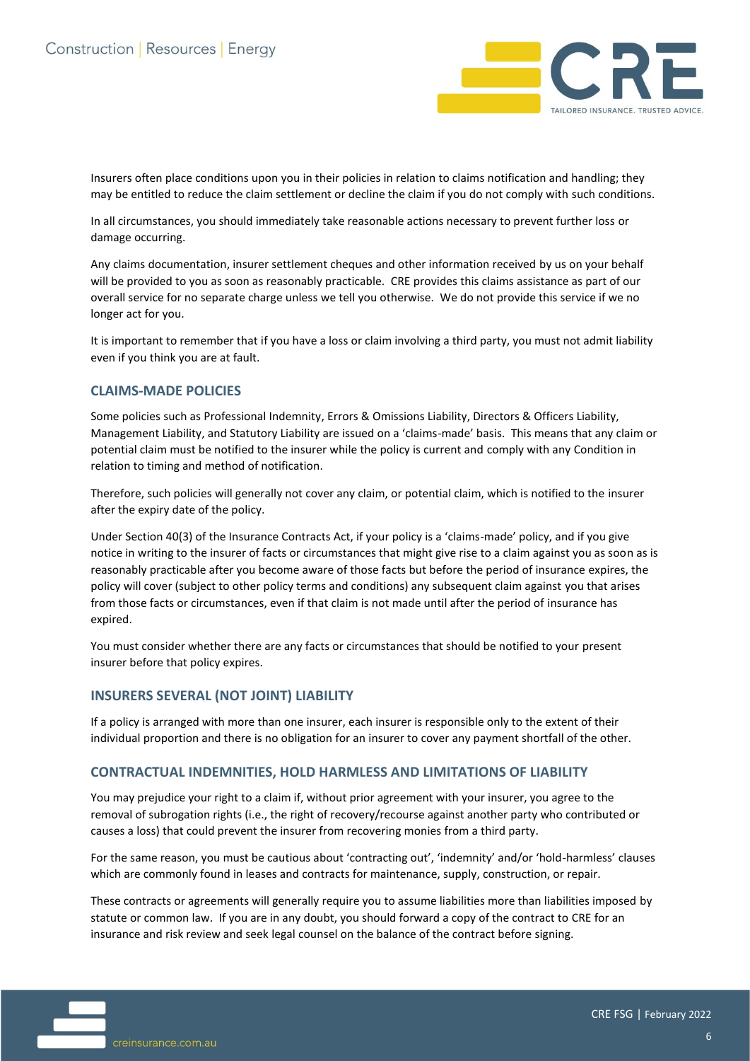

Insurers often place conditions upon you in their policies in relation to claims notification and handling; they may be entitled to reduce the claim settlement or decline the claim if you do not comply with such conditions.

In all circumstances, you should immediately take reasonable actions necessary to prevent further loss or damage occurring.

Any claims documentation, insurer settlement cheques and other information received by us on your behalf will be provided to you as soon as reasonably practicable. CRE provides this claims assistance as part of our overall service for no separate charge unless we tell you otherwise. We do not provide this service if we no longer act for you.

It is important to remember that if you have a loss or claim involving a third party, you must not admit liability even if you think you are at fault.

#### **CLAIMS-MADE POLICIES**

Some policies such as Professional Indemnity, Errors & Omissions Liability, Directors & Officers Liability, Management Liability, and Statutory Liability are issued on a 'claims-made' basis. This means that any claim or potential claim must be notified to the insurer while the policy is current and comply with any Condition in relation to timing and method of notification.

Therefore, such policies will generally not cover any claim, or potential claim, which is notified to the insurer after the expiry date of the policy.

Under Section 40(3) of the Insurance Contracts Act, if your policy is a 'claims-made' policy, and if you give notice in writing to the insurer of facts or circumstances that might give rise to a claim against you as soon as is reasonably practicable after you become aware of those facts but before the period of insurance expires, the policy will cover (subject to other policy terms and conditions) any subsequent claim against you that arises from those facts or circumstances, even if that claim is not made until after the period of insurance has expired.

You must consider whether there are any facts or circumstances that should be notified to your present insurer before that policy expires.

#### **INSURERS SEVERAL (NOT JOINT) LIABILITY**

If a policy is arranged with more than one insurer, each insurer is responsible only to the extent of their individual proportion and there is no obligation for an insurer to cover any payment shortfall of the other.

#### **CONTRACTUAL INDEMNITIES, HOLD HARMLESS AND LIMITATIONS OF LIABILITY**

You may prejudice your right to a claim if, without prior agreement with your insurer, you agree to the removal of subrogation rights (i.e., the right of recovery/recourse against another party who contributed or causes a loss) that could prevent the insurer from recovering monies from a third party.

For the same reason, you must be cautious about 'contracting out', 'indemnity' and/or 'hold-harmless' clauses which are commonly found in leases and contracts for maintenance, supply, construction, or repair.

These contracts or agreements will generally require you to assume liabilities more than liabilities imposed by statute or common law. If you are in any doubt, you should forward a copy of the contract to CRE for an insurance and risk review and seek legal counsel on the balance of the contract before signing.

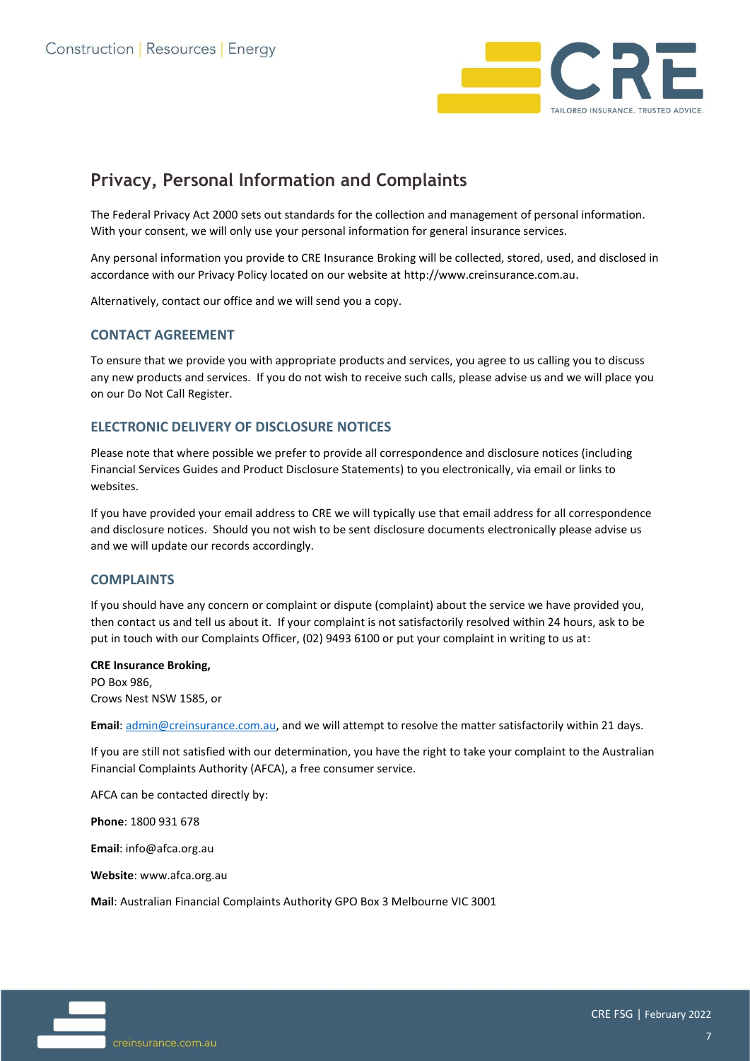

# **Privacy, Personal Information and Complaints**

The Federal Privacy Act 2000 sets out standards for the collection and management of personal information. With your consent, we will only use your personal information for general insurance services.

Any personal information you provide to CRE Insurance Broking will be collected, stored, used, and disclosed in accordance with our Privacy Policy located on our website a[t http://www.creinsurance.com.au.](http://www.creinsurance.com.au/)

Alternatively, contact our office and we will send you a copy.

#### **CONTACT AGREEMENT**

To ensure that we provide you with appropriate products and services, you agree to us calling you to discuss any new products and services. If you do not wish to receive such calls, please advise us and we will place you on our Do Not Call Register.

#### **ELECTRONIC DELIVERY OF DISCLOSURE NOTICES**

Please note that where possible we prefer to provide all correspondence and disclosure notices (including Financial Services Guides and Product Disclosure Statements) to you electronically, via email or links to websites.

If you have provided your email address to CRE we will typically use that email address for all correspondence and disclosure notices. Should you not wish to be sent disclosure documents electronically please advise us and we will update our records accordingly.

#### **COMPLAINTS**

If you should have any concern or complaint or dispute (complaint) about the service we have provided you, then contact us and tell us about it. If your complaint is not satisfactorily resolved within 24 hours, ask to be put in touch with our Complaints Officer, (02) 9493 6100 or put your complaint in writing to us at:

#### **CRE Insurance Broking,**

PO Box 986, Crows Nest NSW 1585, or

**Email**: [admin@creinsurance.com.au,](mailto:admin@creinsurance.com.au) and we will attempt to resolve the matter satisfactorily within 21 days.

If you are still not satisfied with our determination, you have the right to take your complaint to the Australian Financial Complaints Authority (AFCA), a free consumer service.

AFCA can be contacted directly by:

**Phone**: 1800 931 678

**Email**: [info@afca.org.au](mailto:info@afca.org.au)

**Website**[: www.afca.org.au](http://www.afca.org.au/)

**Mail**: Australian Financial Complaints Authority GPO Box 3 Melbourne VIC 3001

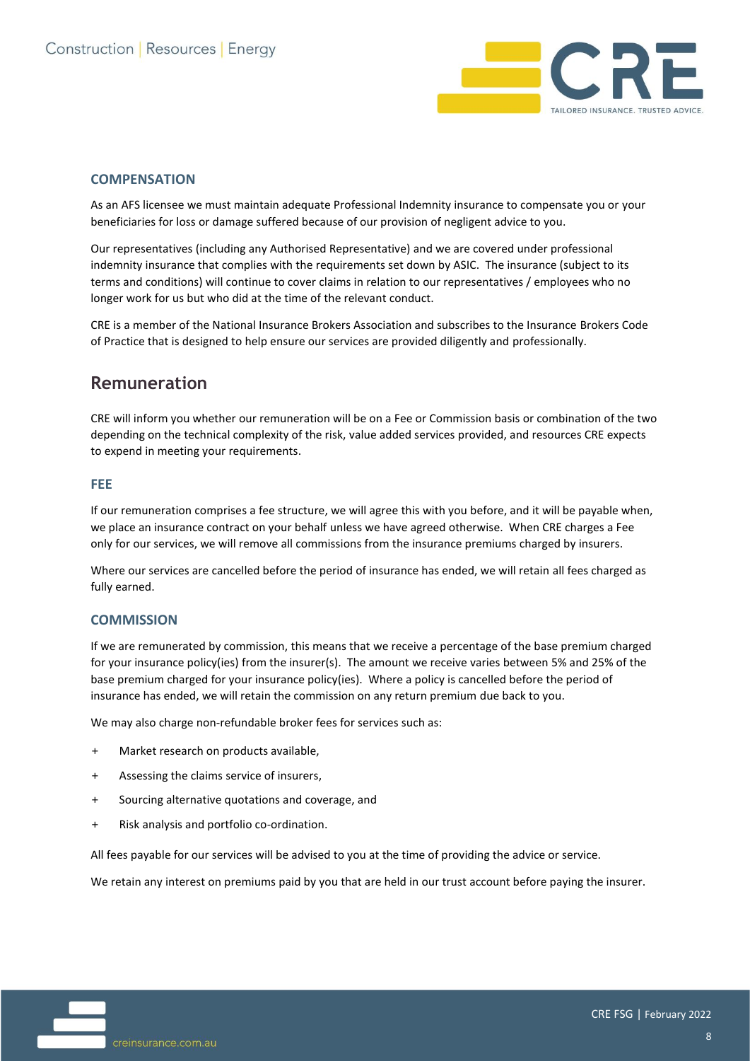

#### **COMPENSATION**

As an AFS licensee we must maintain adequate Professional Indemnity insurance to compensate you or your beneficiaries for loss or damage suffered because of our provision of negligent advice to you.

Our representatives (including any Authorised Representative) and we are covered under professional indemnity insurance that complies with the requirements set down by ASIC. The insurance (subject to its terms and conditions) will continue to cover claims in relation to our representatives / employees who no longer work for us but who did at the time of the relevant conduct.

CRE is a member of the National Insurance Brokers Association and subscribes to the Insurance Brokers Code of Practice that is designed to help ensure our services are provided diligently and professionally.

### **Remuneration**

CRE will inform you whether our remuneration will be on a Fee or Commission basis or combination of the two depending on the technical complexity of the risk, value added services provided, and resources CRE expects to expend in meeting your requirements.

#### **FEE**

If our remuneration comprises a fee structure, we will agree this with you before, and it will be payable when, we place an insurance contract on your behalf unless we have agreed otherwise. When CRE charges a Fee only for our services, we will remove all commissions from the insurance premiums charged by insurers.

Where our services are cancelled before the period of insurance has ended, we will retain all fees charged as fully earned.

#### **COMMISSION**

If we are remunerated by commission, this means that we receive a percentage of the base premium charged for your insurance policy(ies) from the insurer(s). The amount we receive varies between 5% and 25% of the base premium charged for your insurance policy(ies). Where a policy is cancelled before the period of insurance has ended, we will retain the commission on any return premium due back to you.

We may also charge non-refundable broker fees for services such as:

- + Market research on products available,
- + Assessing the claims service of insurers,
- + Sourcing alternative quotations and coverage, and
- + Risk analysis and portfolio co-ordination.

All fees payable for our services will be advised to you at the time of providing the advice or service.

We retain any interest on premiums paid by you that are held in our trust account before paying the insurer.